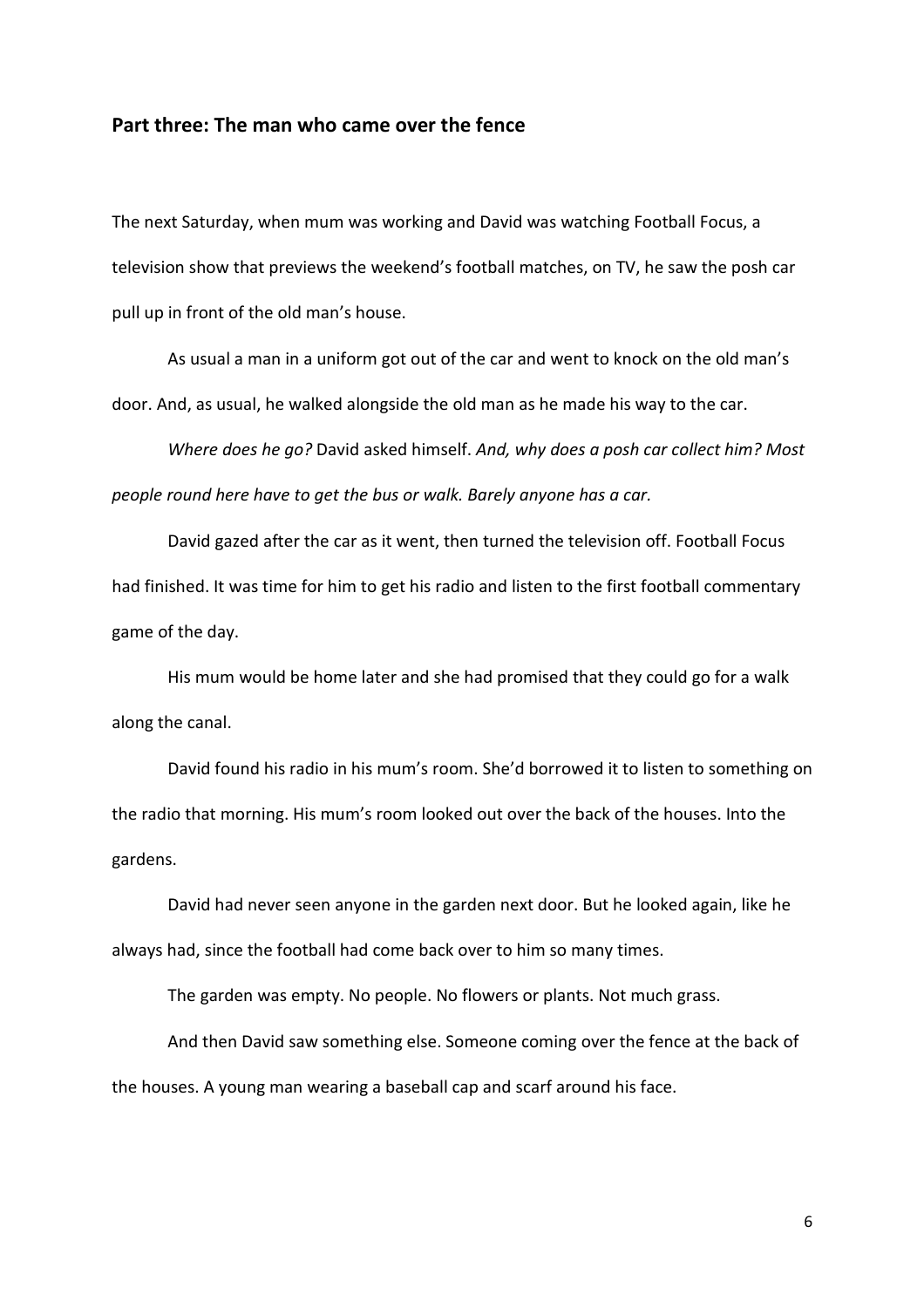## Part three: The man who came over the fence

The next Saturday, when mum was working and David was watching Football Focus, a television show that previews the weekend's football matches, on TV, he saw the posh car pull up in front of the old man's house.

 As usual a man in a uniform got out of the car and went to knock on the old man's door. And, as usual, he walked alongside the old man as he made his way to the car.

Where does he go? David asked himself. And, why does a posh car collect him? Most people round here have to get the bus or walk. Barely anyone has a car.

 David gazed after the car as it went, then turned the television off. Football Focus had finished. It was time for him to get his radio and listen to the first football commentary game of the day.

His mum would be home later and she had promised that they could go for a walk along the canal.

David found his radio in his mum's room. She'd borrowed it to listen to something on the radio that morning. His mum's room looked out over the back of the houses. Into the gardens.

David had never seen anyone in the garden next door. But he looked again, like he always had, since the football had come back over to him so many times.

The garden was empty. No people. No flowers or plants. Not much grass.

 And then David saw something else. Someone coming over the fence at the back of the houses. A young man wearing a baseball cap and scarf around his face.

6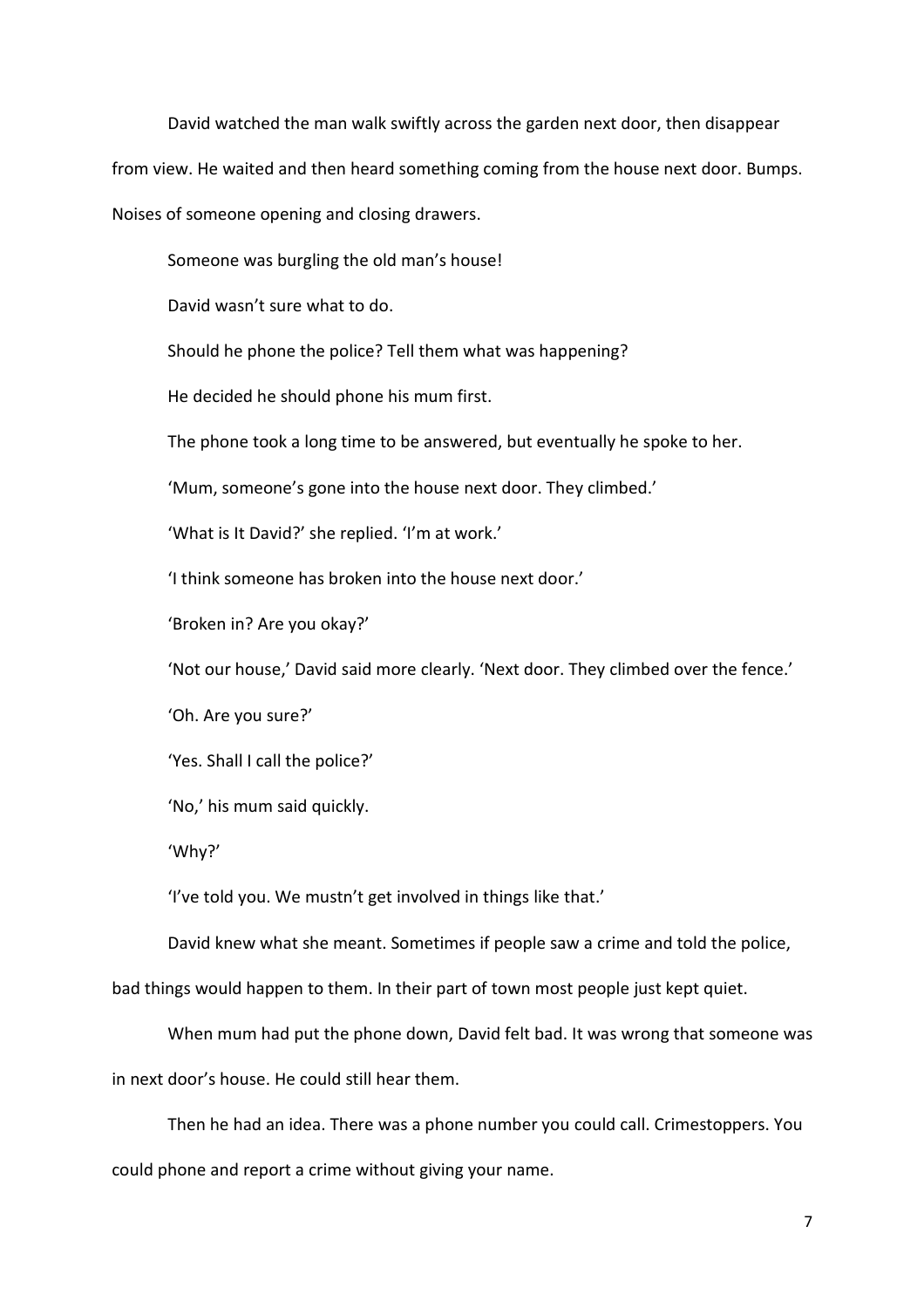David watched the man walk swiftly across the garden next door, then disappear from view. He waited and then heard something coming from the house next door. Bumps. Noises of someone opening and closing drawers.

Someone was burgling the old man's house!

David wasn't sure what to do.

Should he phone the police? Tell them what was happening?

He decided he should phone his mum first.

The phone took a long time to be answered, but eventually he spoke to her.

'Mum, someone's gone into the house next door. They climbed.'

'What is It David?' she replied. 'I'm at work.'

'I think someone has broken into the house next door.'

'Broken in? Are you okay?'

'Not our house,' David said more clearly. 'Next door. They climbed over the fence.'

'Oh. Are you sure?'

'Yes. Shall I call the police?'

'No,' his mum said quickly.

'Why?'

'I've told you. We mustn't get involved in things like that.'

David knew what she meant. Sometimes if people saw a crime and told the police,

bad things would happen to them. In their part of town most people just kept quiet.

When mum had put the phone down, David felt bad. It was wrong that someone was

in next door's house. He could still hear them.

 Then he had an idea. There was a phone number you could call. Crimestoppers. You could phone and report a crime without giving your name.